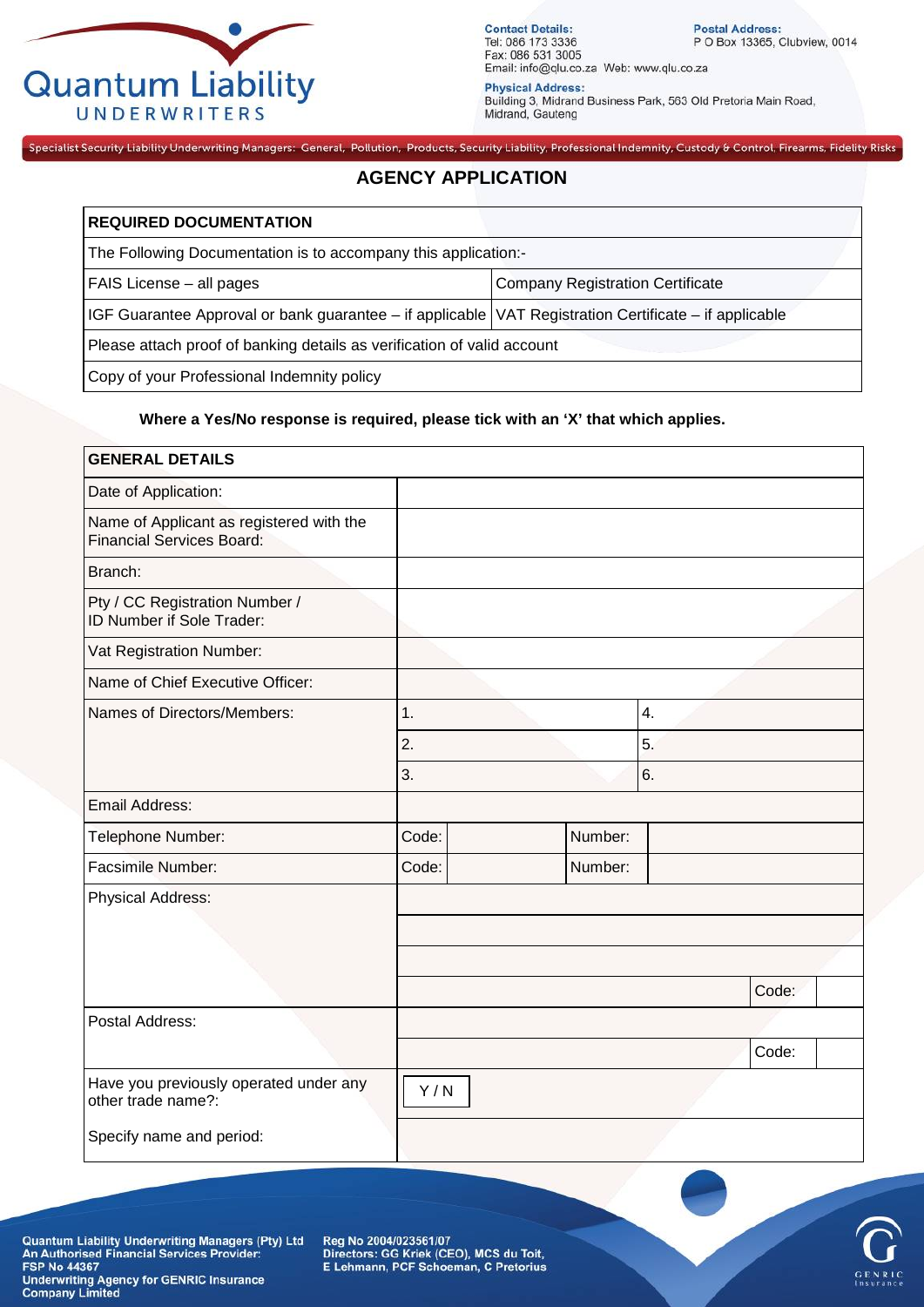

**Contact Details:**<br>Tel: 086 173 3336 Fax: 086 531 3005 Email: info@qlu.co.za Web: www.qlu.co.za

Postal Address:<br>P O Box 13365, Clubview, 0014

**Physical Address:** Fuilding 3, Midrand Business Park, 563 Old Pretoria Main Road,<br>Midrand, Gauteng

## Specialist Security Liability Underwriting Managers: General, Pollution, Products, Security Liability, Professional Indemnity, Custody & Control, Firearms, Fidelity Risks **AGENCY APPLICATION**

| <b>REQUIRED DOCUMENTATION</b>                                                                         |                                         |  |
|-------------------------------------------------------------------------------------------------------|-----------------------------------------|--|
| The Following Documentation is to accompany this application:-                                        |                                         |  |
| FAIS License – all pages                                                                              | <b>Company Registration Certificate</b> |  |
| IGF Guarantee Approval or bank guarantee – if applicable VAT Registration Certificate – if applicable |                                         |  |
| Please attach proof of banking details as verification of valid account                               |                                         |  |
| Copy of your Professional Indemnity policy                                                            |                                         |  |

## **Where a Yes/No response is required, please tick with an 'X' that which applies.**

| <b>GENERAL DETAILS</b>                                                       |       |         |    |       |  |
|------------------------------------------------------------------------------|-------|---------|----|-------|--|
| Date of Application:                                                         |       |         |    |       |  |
| Name of Applicant as registered with the<br><b>Financial Services Board:</b> |       |         |    |       |  |
| Branch:                                                                      |       |         |    |       |  |
| Pty / CC Registration Number /<br>ID Number if Sole Trader:                  |       |         |    |       |  |
| Vat Registration Number:                                                     |       |         |    |       |  |
| Name of Chief Executive Officer:                                             |       |         |    |       |  |
| Names of Directors/Members:                                                  | 1.    |         | 4. |       |  |
|                                                                              | 2.    |         | 5. |       |  |
|                                                                              | 3.    |         | 6. |       |  |
| Email Address:                                                               |       |         |    |       |  |
| Telephone Number:                                                            | Code: | Number: |    |       |  |
| <b>Facsimile Number:</b>                                                     | Code: | Number: |    |       |  |
| <b>Physical Address:</b>                                                     |       |         |    |       |  |
|                                                                              |       |         |    |       |  |
|                                                                              |       |         |    |       |  |
|                                                                              |       |         |    | Code: |  |
| Postal Address:                                                              |       |         |    |       |  |
|                                                                              |       |         |    | Code: |  |
| Have you previously operated under any<br>other trade name?:                 | Y/N   |         |    |       |  |
| Specify name and period:                                                     |       |         |    |       |  |

Quantum Liability Underwriting Managers (Pty) Ltd<br>An Authorised Financial Services Provider:<br>FSP No 44367 **Underwriting Agency for GENRIC Insurance Company Limited** 

Reg No 2004/023561/07 Directors: GG Kriek (CEO), MCS du Toit,<br>E Lehmann, PCF Schoeman, C Pretorius



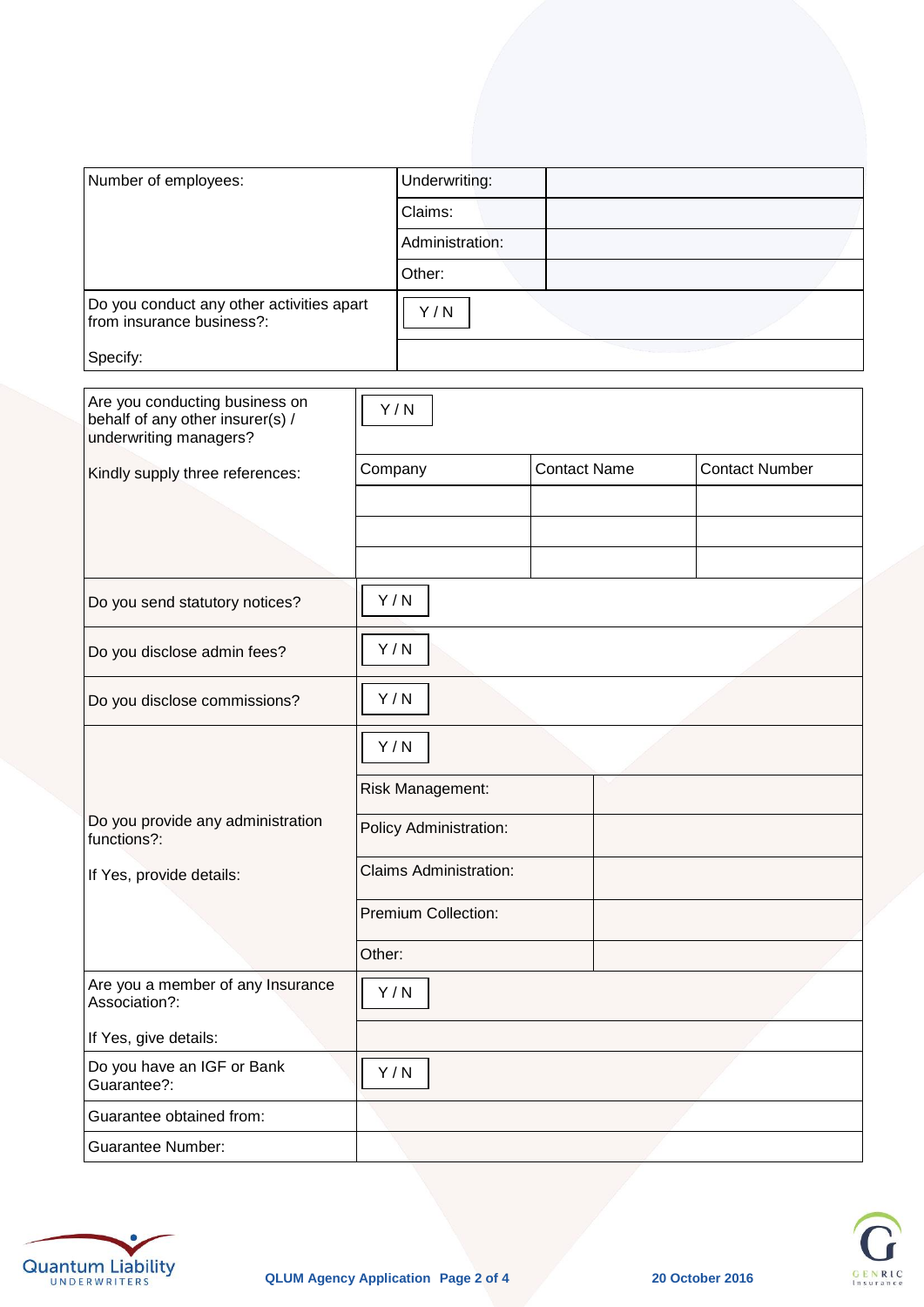| Number of employees:                                                   | Underwriting:   |  |
|------------------------------------------------------------------------|-----------------|--|
|                                                                        | Claims:         |  |
|                                                                        | Administration: |  |
|                                                                        | Other:          |  |
| Do you conduct any other activities apart<br>from insurance business?: | Y/N             |  |
| Specify:                                                               |                 |  |

| Are you conducting business on<br>behalf of any other insurer(s) /<br>underwriting managers? | Y/N                           |                     |                       |
|----------------------------------------------------------------------------------------------|-------------------------------|---------------------|-----------------------|
| Kindly supply three references:                                                              | Company                       | <b>Contact Name</b> | <b>Contact Number</b> |
|                                                                                              |                               |                     |                       |
|                                                                                              |                               |                     |                       |
|                                                                                              |                               |                     |                       |
| Do you send statutory notices?                                                               | Y/N                           |                     |                       |
| Do you disclose admin fees?                                                                  | Y/N                           |                     |                       |
| Do you disclose commissions?                                                                 | Y/N                           |                     |                       |
|                                                                                              | Y/N                           |                     |                       |
|                                                                                              | Risk Management:              |                     |                       |
| Do you provide any administration<br>functions?:                                             | Policy Administration:        |                     |                       |
| If Yes, provide details:                                                                     | <b>Claims Administration:</b> |                     |                       |
|                                                                                              | Premium Collection:           |                     |                       |
|                                                                                              | Other:                        |                     |                       |
| Are you a member of any Insurance<br>Association?:                                           | Y/N                           |                     |                       |
| If Yes, give details:                                                                        |                               |                     |                       |
| Do you have an IGF or Bank<br>Guarantee?:                                                    | Y/N                           |                     |                       |
| Guarantee obtained from:                                                                     |                               |                     |                       |
| <b>Guarantee Number:</b>                                                                     |                               |                     |                       |



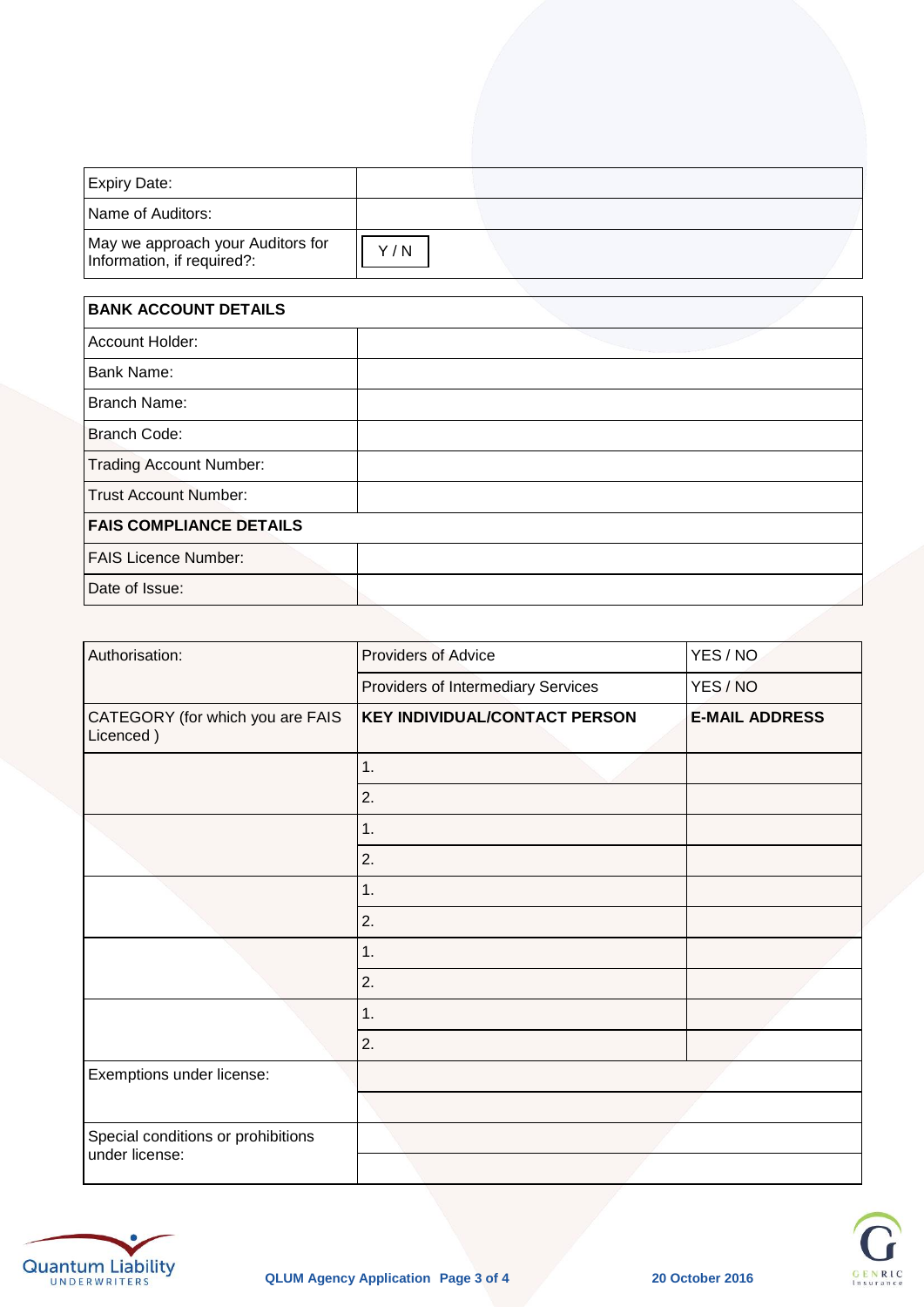| Expiry Date:                                                    |     |  |
|-----------------------------------------------------------------|-----|--|
| Name of Auditors:                                               |     |  |
| May we approach your Auditors for<br>Information, if required?: | Y/N |  |

| <b>BANK ACCOUNT DETAILS</b>    |  |  |  |
|--------------------------------|--|--|--|
| Account Holder:                |  |  |  |
| <b>Bank Name:</b>              |  |  |  |
| <b>Branch Name:</b>            |  |  |  |
| <b>Branch Code:</b>            |  |  |  |
| <b>Trading Account Number:</b> |  |  |  |
| <b>Trust Account Number:</b>   |  |  |  |
| <b>FAIS COMPLIANCE DETAILS</b> |  |  |  |
| <b>FAIS Licence Number:</b>    |  |  |  |
| Date of Issue:                 |  |  |  |

| Authorisation:                                       | <b>Providers of Advice</b>           | YES / NO              |
|------------------------------------------------------|--------------------------------------|-----------------------|
|                                                      | Providers of Intermediary Services   | YES/NO                |
| CATEGORY (for which you are FAIS<br>Licenced)        | <b>KEY INDIVIDUAL/CONTACT PERSON</b> | <b>E-MAIL ADDRESS</b> |
|                                                      | 1.                                   |                       |
|                                                      | 2.                                   |                       |
|                                                      | 1.                                   |                       |
|                                                      | 2.                                   |                       |
|                                                      | 1.                                   |                       |
|                                                      | 2.                                   |                       |
|                                                      | 1.                                   |                       |
|                                                      | 2.                                   |                       |
|                                                      | 1.                                   |                       |
|                                                      | 2.                                   |                       |
| Exemptions under license:                            |                                      |                       |
|                                                      |                                      |                       |
| Special conditions or prohibitions<br>under license: |                                      |                       |
|                                                      |                                      |                       |